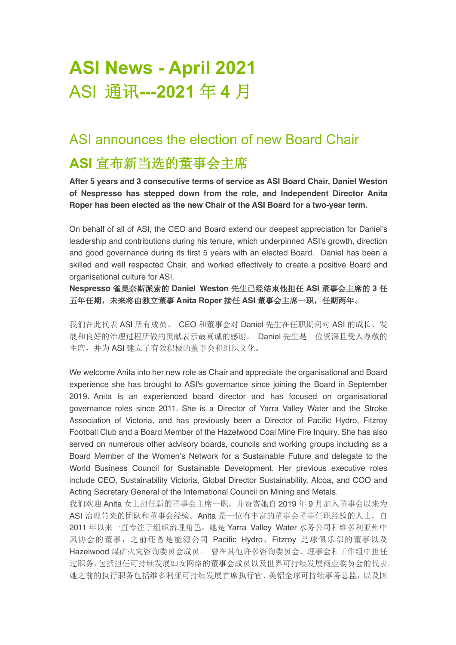# **ASI News - April 2021** ASI 通讯**---2021** 年 **4** 月

## ASI announces the election of new Board Chair

## **ASI** 宣布新当选的董事会主席

**After 5 years and 3 consecutive terms of service as ASI Board Chair, Daniel Weston of Nespresso has stepped down from the role, and Independent Director Anita Roper has been elected as the new Chair of the ASI Board for a two-year term.**

On behalf of all of ASI, the CEO and Board extend our deepest appreciation for Daniel's leadership and contributions during his tenure, which underpinned ASI's growth, direction and good governance during its first 5 years with an elected Board. Daniel has been a skilled and well respected Chair, and worked effectively to create a positive Board and organisational culture for ASI.

**Nespresso** 雀巢奈斯派索的 **Daniel Weston** 先生已经结束他担任 **ASI** 董事会主席的 **3** 任 五年任期,未来将由独立董事 **Anita Roper** 接任 **ASI** 董事会主席一职,任期两年。

我们在此代表 ASI 所有成员、 CEO 和董事会对 Daniel 先生在任职期间对 ASI 的成长、发 展和良好的治理过程所做的贡献表示最真诚的感谢。 Daniel 先生是一位资深且受人尊敬的 主席,并为 ASI 建立了有效积极的董事会和组织文化。

We welcome Anita into her new role as Chair and appreciate the organisational and Board experience she has brought to ASI's governance since joining the Board in September 2019. Anita is an experienced board director and has focused on organisational governance roles since 2011. She is a Director of Yarra Valley Water and the Stroke Association of Victoria, and has previously been a Director of Pacific Hydro, Fitzroy Football Club and a Board Member of the Hazelwood Coal Mine Fire Inquiry. She has also served on numerous other advisory boards, councils and working groups including as a Board Member of the Women's Network for a Sustainable Future and delegate to the World Business Council for Sustainable Development. Her previous executive roles include CEO, Sustainability Victoria, Global Director Sustainability, Alcoa, and COO and Acting Secretary General of the International Council on Mining and Metals.

我们欢迎 Anita 女士担任新的董事会主席一职,并赞赏她自 2019 年 9 月加入董事会以来为 ASI 治理带来的团队和董事会经验。Anita 是一位有丰富的董事会董事任职经验的人士, 自 2011 年以来一直专注于组织治理角色。她是 Yarra Valley Water 水务公司和维多利亚州中 风协会的董事,之前还曾是能源公司 Pacific Hydro、Fitzroy 足球俱乐部的董事以及 Hazelwood 煤矿火灾咨询委员会成员。 曾在其他许多咨询委员会、理事会和工作组中担任 过职务,包括担任可持续发展妇女网络的董事会成员以及世界可持续发展商业委员会的代表。 她之前的执行职务包括维多利亚可持续发展首席执行官、美铝全球可持续事务总监,以及国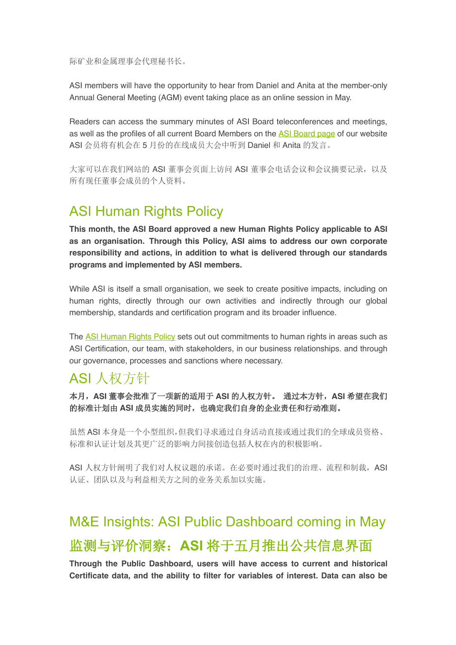际矿业和金属理事会代理秘书长。

ASI members will have the opportunity to hear from Daniel and Anita at the member-only Annual General Meeting (AGM) event taking place as an online session in May.

Readers can access the summary minutes of ASI Board teleconferences and meetings, as well as the profiles of all current Board Members on the ASI Board page of our website ASI 会员将有机会在 5 月份的在线成员大会中听到 Daniel 和 Anita 的发言。

大家可以在我们网站的 ASI 董事会页面上访问 ASI 董事会电话会议和会议摘要记录,以及 所有现任董事会成员的个人资料。

## ASI Human Rights Policy

**This month, the ASI Board approved a new Human Rights Policy applicable to ASI as an organisation. Through this Policy, ASI aims to address our own corporate responsibility and actions, in addition to what is delivered through our standards programs and implemented by ASI members.** 

While ASI is itself a small organisation, we seek to create positive impacts, including on human rights, directly through our own activities and indirectly through our global membership, standards and certification program and its broader influence.

The ASI Human Rights Policy sets out out commitments to human rights in areas such as ASI Certification, our team, with stakeholders, in our business relationships. and through our governance, processes and sanctions where necessary.

## ASI 人权方针

本月,**ASI** 董事会批准了一项新的适用于 **ASI** 的人权方针。 通过本方针,**ASI** 希望在我们 的标准计划由 **ASI** 成员实施的同时,也确定我们自身的企业责任和行动准则。

虽然 ASI 本身是一个小型组织,但我们寻求通过自身活动直接或通过我们的全球成员资格、 标准和认证计划及其更广泛的影响力间接创造包括人权在内的积极影响。

ASI 人权方针阐明了我们对人权议题的承诺。在必要时通过我们的治理、流程和制裁,ASI 认证、团队以及与利益相关方之间的业务关系加以实施。

# M&E Insights: ASI Public Dashboard coming in May 监测与评价洞察:**ASI** 将于五月推出公共信息界面

**Through the Public Dashboard, users will have access to current and historical Certificate data, and the ability to filter for variables of interest. Data can also be**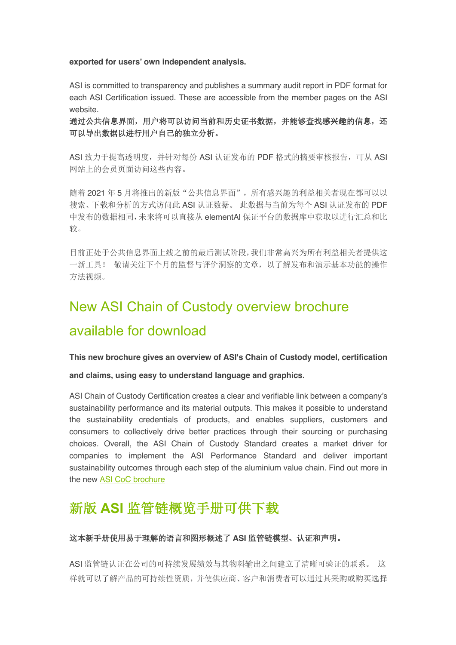#### **exported for users' own independent analysis.**

ASI is committed to transparency and publishes a summary audit report in PDF format for each ASI Certification issued. These are accessible from the member pages on the ASI website.

通过公共信息界面,用户将可以访问当前和历史证书数据,并能够查找感兴趣的信息,还 可以导出数据以进行用户自己的独立分析。

ASI 致力于提高透明度,并针对每份 ASI 认证发布的 PDF 格式的摘要审核报告,可从 ASI 网站上的会员页面访问这些内容。

随着 2021 年5月将推出的新版"公共信息界面",所有感兴趣的利益相关者现在都可以以 搜索、下载和分析的方式访问此 ASI 认证数据。 此数据与当前为每个 ASI 认证发布的 PDF 中发布的数据相同,未来将可以直接从 elementAl 保证平台的数据库中获取以进行汇总和比 较。

目前正处于公共信息界面上线之前的最后测试阶段,我们非常高兴为所有利益相关者提供这 一新工具! 敬请关注下个月的监督与评价洞察的文章,以了解发布和演示基本功能的操作 方法视频。

## New ASI Chain of Custody overview brochure available for download

**This new brochure gives an overview of ASI's Chain of Custody model, certification** 

#### **and claims, using easy to understand language and graphics.**

ASI Chain of Custody Certification creates a clear and verifiable link between a company's sustainability performance and its material outputs. This makes it possible to understand the sustainability credentials of products, and enables suppliers, customers and consumers to collectively drive better practices through their sourcing or purchasing choices. Overall, the ASI Chain of Custody Standard creates a market driver for companies to implement the ASI Performance Standard and deliver important sustainability outcomes through each step of the aluminium value chain. Find out more in the new ASI CoC brochure

## 新版 **ASI** 监管链概览手册可供下载

#### 这本新手册使用易于理解的语言和图形概述了 **ASI** 监管链模型、认证和声明。

ASI 监管链认证在公司的可持续发展绩效与其物料输出之间建立了清晰可验证的联系。 这 样就可以了解产品的可持续性资质,并使供应商、客户和消费者可以通过其采购或购买选择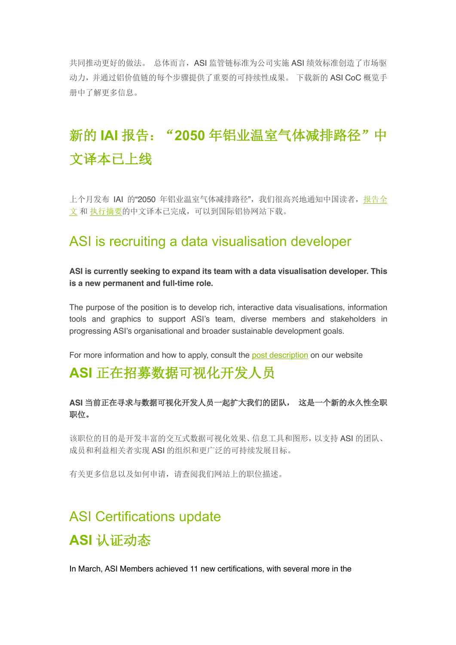共同推动更好的做法。总体而言, ASI 监管链标准为公司实施 ASI 绩效标准创造了市场驱 动力,并通过铝价值链的每个步骤提供了重要的可持续性成果。 下载新的 ASI CoC 概览手 册中了解更多信息。

## 新的 IAI 报告: "2050 年铝业温室气体减排路径"中 文译本已上线

上个月发布 IAI 的"2050 年铝业温室气体减排路径",我们很高兴地通知中国读者,报告全 文 和 执行摘要的中文译本已完成,可以到国际铝协网站下载。

## ASI is recruiting a data visualisation developer

**ASI is currently seeking to expand its team with a data visualisation developer. This is a new permanent and full-time role.**

The purpose of the position is to develop rich, interactive data visualisations, information tools and graphics to support ASI's team, diverse members and stakeholders in progressing ASI's organisational and broader sustainable development goals.

For more information and how to apply, consult the post description on our website

## **ASI** 正在招募数据可视化开发人员

#### **ASI** 当前正在寻求与数据可视化开发人员一起扩大我们的团队, 这是一个新的永久性全职 职位。

该职位的目的是开发丰富的交互式数据可视化效果、信息工具和图形,以支持 ASI 的团队、 成员和利益相关者实现 ASI 的组织和更广泛的可持续发展目标。

有关更多信息以及如何申请,请查阅我们网站上的职位描述。

## ASI Certifications update **ASI** 认证动态

In March, ASI Members achieved 11 new certifications, with several more in the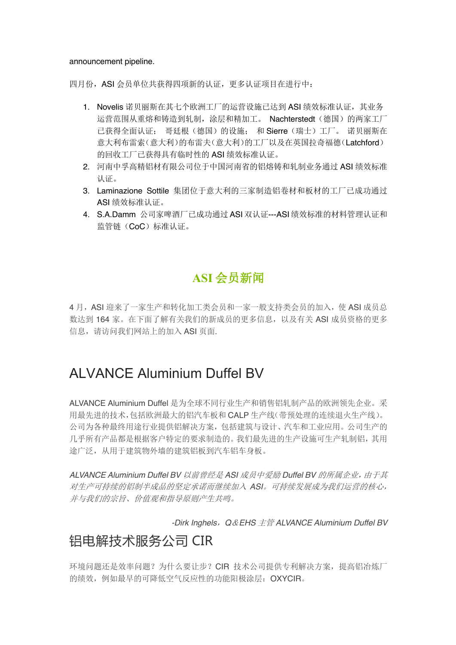#### announcement pipeline.

四月份,ASI 会员单位共获得四项新的认证,更多认证项目在进行中:

- 1. Novelis 诺贝丽斯在其七个欧洲工厂的运营设施已达到 ASI 绩效标准认证,其业务 运营范围从重熔和铸造到轧制,涂层和精加工。 Nachterstedt(德国)的两家工厂 已获得全面认证; 哥廷根(德国)的设施; 和 Sierre(瑞士)工厂。 诺贝丽斯在 意大利布雷索(意大利)的布雷夫(意大利)的工厂以及在英国拉奇福德(Latchford) 的回收工厂已获得具有临时性的 ASI 绩效标准认证。
- 2. 河南中孚高精铝材有限公司位于中国河南省的铝熔铸和轧制业务通过 ASI 绩效标准 认证。
- 3. Laminazione Sottile 集团位于意大利的三家制造铝卷材和板材的工厂已成功通过 ASI 绩效标准认证。
- 4. S.A.Damm 公司家啤酒厂已成功通过 ASI 双认证---ASI 绩效标准的材料管理认证和 监管链(CoC)标准认证。

## **ASI** 会员新闻

4 月, ASI 迎来了一家生产和转化加工类会员和一家一般支持类会员的加入, 使 ASI 成员总 数达到 164 家。在下面了解有关我们的新成员的更多信息,以及有关 ASI 成员资格的更多 信息,请访问我们网站上的加入 ASI 页面.

## ALVANCE Aluminium Duffel BV

ALVANCE Aluminium Duffel 是为全球不同行业生产和销售铝轧制产品的欧洲领先企业。采 用最先进的技术,包括欧洲最大的铝汽车板和 CALP 生产线(带预处理的连续退火生产线)。 公司为各种最终用途行业提供铝解决方案,包括建筑与设计、汽车和工业应用。公司生产的 几乎所有产品都是根据客户特定的要求制造的。我们最先进的生产设施可生产轧制铝,其用 途广泛,从用于建筑物外墙的建筑铝板到汽车铝车身板。

ALVANCE Aluminium Duffel BV 以前曾经是 ASI 成员中爱励 Duffel BV 的所属企业, 由于其 对生产可持续的铝制半成品的坚定承诺而继续加入 *ASI*。可持续发展成为我们运营的核心, 并与我们的宗旨、价值观和指导原则产生共鸣。

*-Dirk Inghels*,*Q*&*EHS* 主管 *ALVANCE Aluminium Duffel BV*

## 铝电解技术服务公司 CIR

环境问题还是效率问题?为什么要让步?CIR 技术公司提供专利解决方案,提高铝冶炼厂 的绩效,例如最早的可降低空气反应性的功能阳极涂层:OXYCIR。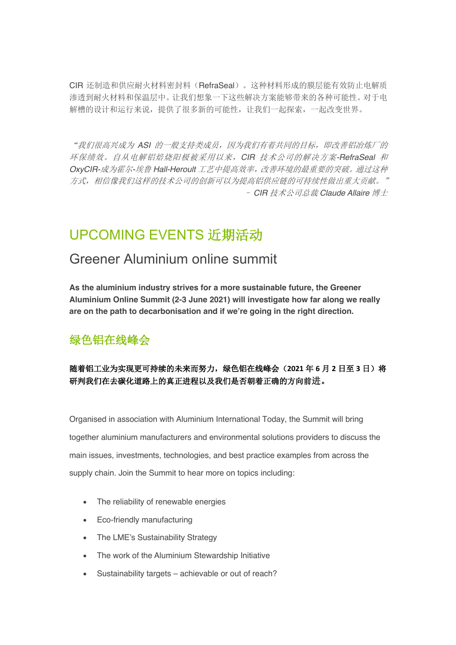CIR 还制造和供应耐火材料密封料(RefraSeal)。这种材料形成的膜层能有效防止电解质 渗透到耐火材料和保温层中。让我们想象一下这些解决方案能够带来的各种可能性。对于电 解槽的设计和运行来说,提供了很多新的可能性,让我们一起探索,一起改变世界。

"我们很高兴成为 *ASI* 的一般支持类成员,因为我们有着共同的目标,即改善铝冶炼厂的 环保绩效。自从电解铝焙烧阳极被采用以来,*CIR* 技术公司的解决方案*-RefraSeal* 和 *OxyCIR-*成为霍尔*-*埃鲁 *Hall-Heroult* 工艺中提高效率,改善环境的最重要的突破。通过这种 方式,相信像我们这样的技术公司的创新可以为提高铝供应链的可持续性做出重大贡献。" – *CIR* 技术公司总裁 *Claude Allaire* 博士

## UPCOMING EVENTS 近期活动

## Greener Aluminium online summit

**As the aluminium industry strives for a more sustainable future, the Greener Aluminium Online Summit (2-3 June 2021) will investigate how far along we really are on the path to decarbonisation and if we're going in the right direction.** 

## 绿色铝在线峰会

#### 随着铝工业为实现更可持续的未来而努力,绿色铝在线峰会(**2021** 年 **6** 月 **2** 日至 **3** 日)将 研判我们在去碳化道路上的真正进程以及我们是否朝着正确的方向前进。

Organised in association with Aluminium International Today, the Summit will bring together aluminium manufacturers and environmental solutions providers to discuss the main issues, investments, technologies, and best practice examples from across the supply chain. Join the Summit to hear more on topics including:

- The reliability of renewable energies
- Eco-friendly manufacturing
- The LME's Sustainability Strategy
- The work of the Aluminium Stewardship Initiative
- Sustainability targets achievable or out of reach?